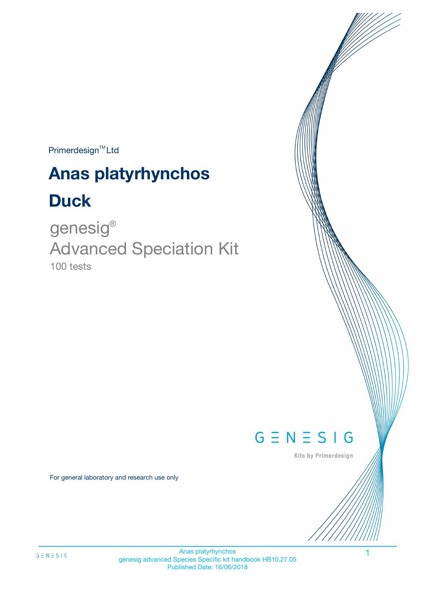Primerdesign<sup>™</sup>Ltd

# **Anas platyrhynchos**

# **Duck**

100 tests genesig ® Advanced Speciation Kit



Kits by Primerdesign

For general laboratory and research use only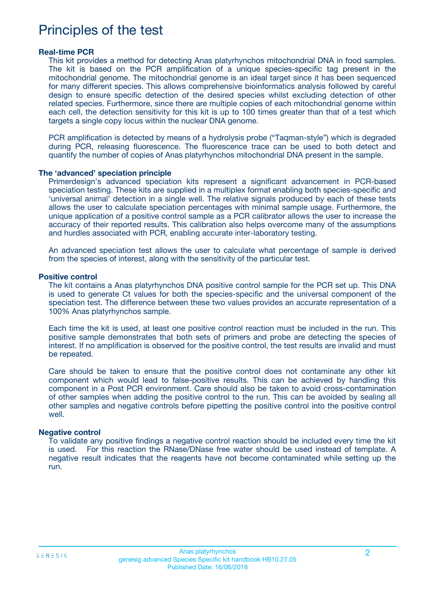### Principles of the test

#### **Real-time PCR**

This kit provides a method for detecting Anas platyrhynchos mitochondrial DNA in food samples. The kit is based on the PCR amplification of a unique species-specific tag present in the mitochondrial genome. The mitochondrial genome is an ideal target since it has been sequenced for many different species. This allows comprehensive bioinformatics analysis followed by careful design to ensure specific detection of the desired species whilst excluding detection of other related species. Furthermore, since there are multiple copies of each mitochondrial genome within each cell, the detection sensitivity for this kit is up to 100 times greater than that of a test which targets a single copy locus within the nuclear DNA genome.

PCR amplification is detected by means of a hydrolysis probe ("Taqman-style") which is degraded during PCR, releasing fluorescence. The fluorescence trace can be used to both detect and quantify the number of copies of Anas platyrhynchos mitochondrial DNA present in the sample.

#### **The 'advanced' speciation principle**

Primerdesign's advanced speciation kits represent a significant advancement in PCR-based speciation testing. These kits are supplied in a multiplex format enabling both species-specific and 'universal animal' detection in a single well. The relative signals produced by each of these tests allows the user to calculate speciation percentages with minimal sample usage. Furthermore, the unique application of a positive control sample as a PCR calibrator allows the user to increase the accuracy of their reported results. This calibration also helps overcome many of the assumptions and hurdles associated with PCR, enabling accurate inter-laboratory testing.

An advanced speciation test allows the user to calculate what percentage of sample is derived from the species of interest, along with the sensitivity of the particular test.

#### **Positive control**

The kit contains a Anas platyrhynchos DNA positive control sample for the PCR set up. This DNA is used to generate Ct values for both the species-specific and the universal component of the speciation test. The difference between these two values provides an accurate representation of a 100% Anas platyrhynchos sample.

Each time the kit is used, at least one positive control reaction must be included in the run. This positive sample demonstrates that both sets of primers and probe are detecting the species of interest. If no amplification is observed for the positive control, the test results are invalid and must be repeated.

Care should be taken to ensure that the positive control does not contaminate any other kit component which would lead to false-positive results. This can be achieved by handling this component in a Post PCR environment. Care should also be taken to avoid cross-contamination of other samples when adding the positive control to the run. This can be avoided by sealing all other samples and negative controls before pipetting the positive control into the positive control well.

#### **Negative control**

To validate any positive findings a negative control reaction should be included every time the kit is used. For this reaction the RNase/DNase free water should be used instead of template. A negative result indicates that the reagents have not become contaminated while setting up the run.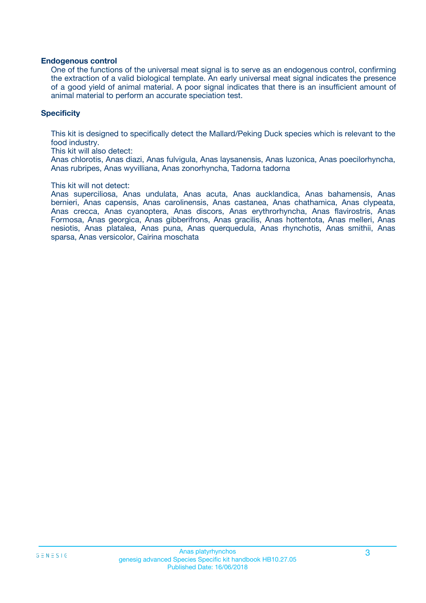#### **Endogenous control**

One of the functions of the universal meat signal is to serve as an endogenous control, confirming the extraction of a valid biological template. An early universal meat signal indicates the presence of a good yield of animal material. A poor signal indicates that there is an insufficient amount of animal material to perform an accurate speciation test.

#### **Specificity**

This kit is designed to specifically detect the Mallard/Peking Duck species which is relevant to the food industry.

This kit will also detect:

Anas chlorotis, Anas diazi, Anas fulvigula, Anas laysanensis, Anas luzonica, Anas poecilorhyncha, Anas rubripes, Anas wyvilliana, Anas zonorhyncha, Tadorna tadorna

#### This kit will not detect:

Anas superciliosa, Anas undulata, Anas acuta, Anas aucklandica, Anas bahamensis, Anas bernieri, Anas capensis, Anas carolinensis, Anas castanea, Anas chathamica, Anas clypeata, Anas crecca, Anas cyanoptera, Anas discors, Anas erythrorhyncha, Anas flavirostris, Anas Formosa, Anas georgica, Anas gibberifrons, Anas gracilis, Anas hottentota, Anas melleri, Anas nesiotis, Anas platalea, Anas puna, Anas querquedula, Anas rhynchotis, Anas smithii, Anas sparsa, Anas versicolor, Cairina moschata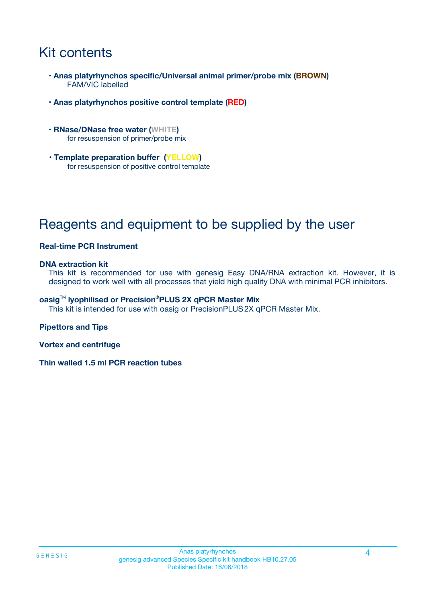## Kit contents

- **Anas platyrhynchos specific/Universal animal primer/probe mix (BROWN)** FAM/VIC labelled
- **Anas platyrhynchos positive control template (RED)**
- **RNase/DNase free water (WHITE)** for resuspension of primer/probe mix
- **Template preparation buffer (YELLOW)** for resuspension of positive control template

# Reagents and equipment to be supplied by the user

#### **Real-time PCR Instrument**

#### **DNA extraction kit**

This kit is recommended for use with genesig Easy DNA/RNA extraction kit. However, it is designed to work well with all processes that yield high quality DNA with minimal PCR inhibitors.

#### **oasig**TM **lyophilised or Precision®PLUS 2X qPCR Master Mix**

This kit is intended for use with oasig or PrecisionPLUS2X qPCR Master Mix.

#### **Pipettors and Tips**

**Vortex and centrifuge**

**Thin walled 1.5 ml PCR reaction tubes**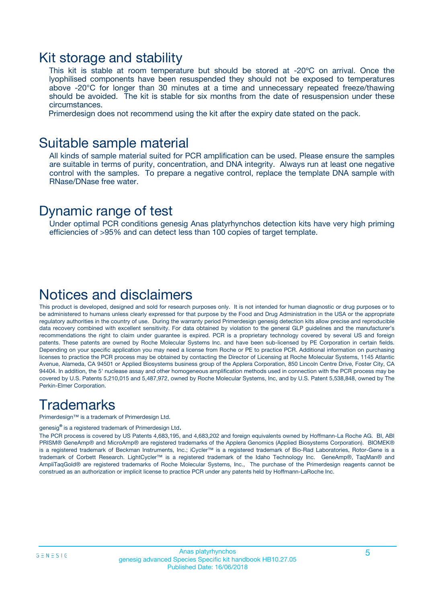### Kit storage and stability

This kit is stable at room temperature but should be stored at -20ºC on arrival. Once the lyophilised components have been resuspended they should not be exposed to temperatures above -20°C for longer than 30 minutes at a time and unnecessary repeated freeze/thawing should be avoided. The kit is stable for six months from the date of resuspension under these circumstances.

Primerdesign does not recommend using the kit after the expiry date stated on the pack.

### Suitable sample material

All kinds of sample material suited for PCR amplification can be used. Please ensure the samples are suitable in terms of purity, concentration, and DNA integrity. Always run at least one negative control with the samples. To prepare a negative control, replace the template DNA sample with RNase/DNase free water.

### Dynamic range of test

Under optimal PCR conditions genesig Anas platyrhynchos detection kits have very high priming efficiencies of >95% and can detect less than 100 copies of target template.

### Notices and disclaimers

This product is developed, designed and sold for research purposes only. It is not intended for human diagnostic or drug purposes or to be administered to humans unless clearly expressed for that purpose by the Food and Drug Administration in the USA or the appropriate regulatory authorities in the country of use. During the warranty period Primerdesign genesig detection kits allow precise and reproducible data recovery combined with excellent sensitivity. For data obtained by violation to the general GLP guidelines and the manufacturer's recommendations the right to claim under guarantee is expired. PCR is a proprietary technology covered by several US and foreign patents. These patents are owned by Roche Molecular Systems Inc. and have been sub-licensed by PE Corporation in certain fields. Depending on your specific application you may need a license from Roche or PE to practice PCR. Additional information on purchasing licenses to practice the PCR process may be obtained by contacting the Director of Licensing at Roche Molecular Systems, 1145 Atlantic Avenue, Alameda, CA 94501 or Applied Biosystems business group of the Applera Corporation, 850 Lincoln Centre Drive, Foster City, CA 94404. In addition, the 5' nuclease assay and other homogeneous amplification methods used in connection with the PCR process may be covered by U.S. Patents 5,210,015 and 5,487,972, owned by Roche Molecular Systems, Inc, and by U.S. Patent 5,538,848, owned by The Perkin-Elmer Corporation.

### **Trademarks**

Primerdesign™ is a trademark of Primerdesign Ltd.

genesig**®** is a registered trademark of Primerdesign Ltd.

The PCR process is covered by US Patents 4,683,195, and 4,683,202 and foreign equivalents owned by Hoffmann-La Roche AG. BI, ABI PRISM® GeneAmp® and MicroAmp® are registered trademarks of the Applera Genomics (Applied Biosystems Corporation). BIOMEK® is a registered trademark of Beckman Instruments, Inc.; iCycler™ is a registered trademark of Bio-Rad Laboratories, Rotor-Gene is a trademark of Corbett Research. LightCycler™ is a registered trademark of the Idaho Technology Inc. GeneAmp®, TaqMan® and AmpliTaqGold® are registered trademarks of Roche Molecular Systems, Inc., The purchase of the Primerdesign reagents cannot be construed as an authorization or implicit license to practice PCR under any patents held by Hoffmann-LaRoche Inc.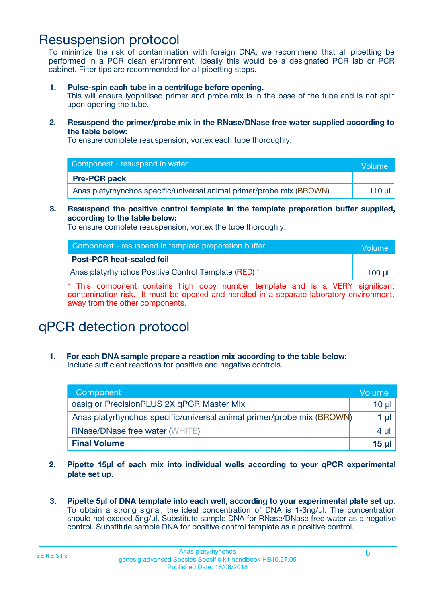### Resuspension protocol

To minimize the risk of contamination with foreign DNA, we recommend that all pipetting be performed in a PCR clean environment. Ideally this would be a designated PCR lab or PCR cabinet. Filter tips are recommended for all pipetting steps.

**1. Pulse-spin each tube in a centrifuge before opening.**

This will ensure lyophilised primer and probe mix is in the base of the tube and is not spilt upon opening the tube.

**2. Resuspend the primer/probe mix in the RNase/DNase free water supplied according to the table below:**

To ensure complete resuspension, vortex each tube thoroughly.

| Component - resuspend in water                                        | Volume |
|-----------------------------------------------------------------------|--------|
| <b>Pre-PCR pack</b>                                                   |        |
| Anas platyrhynchos specific/universal animal primer/probe mix (BROWN) | 110 ul |

#### **3. Resuspend the positive control template in the template preparation buffer supplied, according to the table below:**

To ensure complete resuspension, vortex the tube thoroughly.

| Component - resuspend in template preparation buffer | Volume      |
|------------------------------------------------------|-------------|
| <b>Post-PCR heat-sealed foil</b>                     |             |
| Anas platyrhynchos Positive Control Template (RED) * | $100$ $\mu$ |

\* This component contains high copy number template and is a VERY significant contamination risk. It must be opened and handled in a separate laboratory environment, away from the other components.

# qPCR detection protocol

**1. For each DNA sample prepare a reaction mix according to the table below:** Include sufficient reactions for positive and negative controls.

| Component                                                             | Volume          |
|-----------------------------------------------------------------------|-----------------|
| oasig or PrecisionPLUS 2X qPCR Master Mix                             | 10 µ $\vert$    |
| Anas platyrhynchos specific/universal animal primer/probe mix (BROWN) | 1 µl            |
| <b>RNase/DNase free water (WHITE)</b>                                 | $4 \mu$         |
| <b>Final Volume</b>                                                   | 15 <sub>µ</sub> |

- **2. Pipette 15µl of each mix into individual wells according to your qPCR experimental plate set up.**
- **3. Pipette 5µl of DNA template into each well, according to your experimental plate set up.** To obtain a strong signal, the ideal concentration of DNA is 1-3ng/µl. The concentration should not exceed 5ng/µl. Substitute sample DNA for RNase/DNase free water as a negative control. Substitute sample DNA for positive control template as a positive control.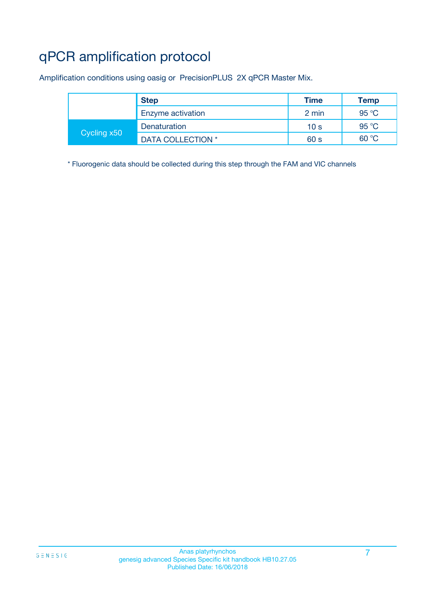# qPCR amplification protocol

Amplification conditions using oasig or PrecisionPLUS 2X qPCR Master Mix.

|             | <b>Step</b>       | <b>Time</b>     | <b>Temp</b> |
|-------------|-------------------|-----------------|-------------|
|             | Enzyme activation | 2 min           | 95 °C       |
|             | Denaturation      | 10 <sub>s</sub> | 95 °C       |
| Cycling x50 | DATA COLLECTION * | 60 s            | 60 °C       |

\* Fluorogenic data should be collected during this step through the FAM and VIC channels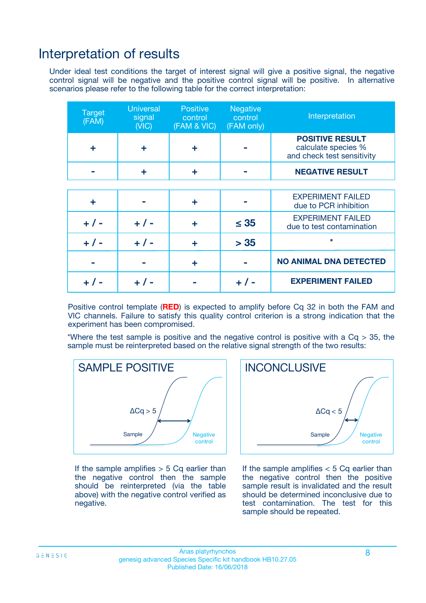### Interpretation of results

Under ideal test conditions the target of interest signal will give a positive signal, the negative control signal will be negative and the positive control signal will be positive. In alternative scenarios please refer to the following table for the correct interpretation:

| <b>Target</b><br>(FAM) | <b>Universal</b><br>signal<br>(NIC) | <b>Positive</b><br>control<br>(FAM & VIC) | <b>Negative</b><br>control<br>(FAM only) | Interpretation                                                              |
|------------------------|-------------------------------------|-------------------------------------------|------------------------------------------|-----------------------------------------------------------------------------|
| ÷                      | ÷                                   | ÷                                         |                                          | <b>POSITIVE RESULT</b><br>calculate species %<br>and check test sensitivity |
|                        |                                     | ÷                                         |                                          | <b>NEGATIVE RESULT</b>                                                      |
|                        |                                     |                                           |                                          |                                                                             |
| ÷                      |                                     | ÷                                         |                                          | <b>EXPERIMENT FAILED</b><br>due to PCR inhibition                           |
| $+$ / -                | $+ 1 -$                             | ٠                                         | $\leq$ 35                                | <b>EXPERIMENT FAILED</b><br>due to test contamination                       |
| $+ 1 -$                | $+ 1 -$                             | ÷                                         | > 35                                     | $\star$                                                                     |
|                        |                                     | ÷                                         |                                          | <b>NO ANIMAL DNA DETECTED</b>                                               |
|                        | $+/-$                               |                                           | + / -                                    | <b>EXPERIMENT FAILED</b>                                                    |

Positive control template (**RED**) is expected to amplify before Cq 32 in both the FAM and VIC channels. Failure to satisfy this quality control criterion is a strong indication that the experiment has been compromised.

\*Where the test sample is positive and the negative control is positive with a  $Cq > 35$ , the sample must be reinterpreted based on the relative signal strength of the two results:



If the sample amplifies  $> 5$  Cq earlier than the negative control then the sample should be reinterpreted (via the table above) with the negative control verified as negative.



If the sample amplifies  $< 5$  Cq earlier than the negative control then the positive sample result is invalidated and the result should be determined inconclusive due to test contamination. The test for this sample should be repeated.

#### Anas platyrhynchos and the set of the set of the set of the set of the set of the set of the set of the set of the set of the set of the set of the set of the set of the set of the set of the set of the set of the set of t genesig advanced Species Specific kit handbook HB10.27.05 Published Date: 16/06/2018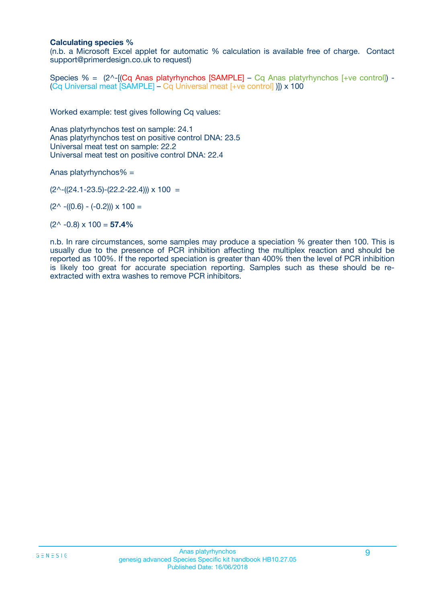#### **Calculating species %**

(n.b. a Microsoft Excel applet for automatic % calculation is available free of charge. Contact support@primerdesign.co.uk to request)

Species % =  $(2^{\wedge}$ -[(Cq Anas platyrhynchos [SAMPLE] – Cq Anas platyrhynchos [+ve control]) -(Cq Universal meat [SAMPLE] – Cq Universal meat [+ve control] )]) x 100

Worked example: test gives following Cq values:

Anas platyrhynchos test on sample: 24.1 Anas platyrhynchos test on positive control DNA: 23.5 Universal meat test on sample: 22.2 Universal meat test on positive control DNA: 22.4

Anas platyrhynchos% =

 $(2^{\wedge}-(24.1-23.5)-(22.2-22.4))) \times 100 =$ 

 $(2^{\wedge}$  -((0.6) - (-0.2)))  $\times$  100 =

 $(2^{\wedge}$  -0.8)  $\times$  100 = **57.4%** 

n.b. In rare circumstances, some samples may produce a speciation % greater then 100. This is usually due to the presence of PCR inhibition affecting the multiplex reaction and should be reported as 100%. If the reported speciation is greater than 400% then the level of PCR inhibition is likely too great for accurate speciation reporting. Samples such as these should be reextracted with extra washes to remove PCR inhibitors.